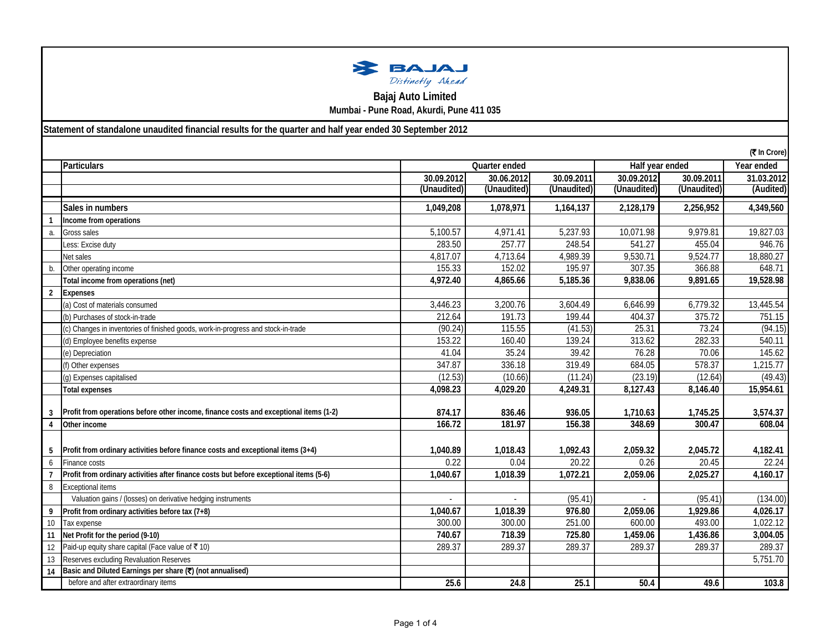| <b>BAJAJ</b>     |  |
|------------------|--|
| Distinctly Ahead |  |

**Bajaj Auto Limited**

**Mumbai - Pune Road, Akurdi, Pune 411 035**

**Statement of standalone unaudited financial results for the quarter and half year ended 30 September 2012**

|                |                                                                                        |             |               |             |             |                 | (₹ In Crore) |
|----------------|----------------------------------------------------------------------------------------|-------------|---------------|-------------|-------------|-----------------|--------------|
|                | Particulars                                                                            |             | Quarter ended |             |             | Half year ended | Year ended   |
|                |                                                                                        | 30.09.2012  | 30.06.2012    | 30.09.2011  | 30.09.2012  | 30.09.2011      | 31.03.2012   |
|                |                                                                                        | (Unaudited) | (Unaudited)   | (Unaudited) | (Unaudited) | (Unaudited)     | (Audited)    |
|                | Sales in numbers                                                                       | 1.049.208   | 1,078,971     | 1,164,137   | 2,128,179   | 2,256,952       | 4,349,560    |
|                | Income from operations                                                                 |             |               |             |             |                 |              |
| a.             | Gross sales                                                                            | 5,100.57    | 4,971.41      | 5,237.93    | 10,071.98   | 9,979.81        | 19,827.03    |
|                | Less: Excise duty                                                                      | 283.50      | 257.77        | 248.54      | 541.27      | 455.04          | 946.76       |
|                | Net sales                                                                              | 4,817.07    | 4,713.64      | 4,989.39    | 9,530.71    | 9,524.77        | 18,880.27    |
| b.             | Other operating income                                                                 | 155.33      | 152.02        | 195.97      | 307.35      | 366.88          | 648.71       |
|                | Total income from operations (net)                                                     | 4,972.40    | 4,865.66      | 5,185.36    | 9,838.06    | 9,891.65        | 19,528.98    |
| $\overline{2}$ | <b>Expenses</b>                                                                        |             |               |             |             |                 |              |
|                | (a) Cost of materials consumed                                                         | 3,446.23    | 3,200.76      | 3,604.49    | 6,646.99    | 6,779.32        | 13,445.54    |
|                | (b) Purchases of stock-in-trade                                                        | 212.64      | 191.73        | 199.44      | 404.37      | 375.72          | 751.15       |
|                | (c) Changes in inventories of finished goods, work-in-progress and stock-in-trade      | (90.24)     | 115.55        | (41.53)     | 25.31       | 73.24           | (94.15)      |
|                | (d) Employee benefits expense                                                          | 153.22      | 160.40        | 139.24      | 313.62      | 282.33          | 540.11       |
|                | (e) Depreciation                                                                       | 41.04       | 35.24         | 39.42       | 76.28       | 70.06           | 145.62       |
|                | (f) Other expenses                                                                     | 347.87      | 336.18        | 319.49      | 684.05      | 578.37          | 1,215.77     |
|                | (g) Expenses capitalised                                                               | (12.53)     | (10.66)       | (11.24)     | (23.19)     | (12.64)         | (49.43)      |
|                | <b>Total expenses</b>                                                                  | 4,098.23    | 4,029.20      | 4,249.31    | 8,127.43    | 8,146.40        | 15,954.61    |
|                |                                                                                        |             |               |             |             |                 |              |
| 3              | Profit from operations before other income, finance costs and exceptional items (1-2)  | 874.17      | 836.46        | 936.05      | 1,710.63    | 1,745.25        | 3,574.37     |
| 4              | Other income                                                                           | 166.72      | 181.97        | 156.38      | 348.69      | 300.47          | 608.04       |
|                |                                                                                        |             |               |             |             |                 |              |
| 5              | Profit from ordinary activities before finance costs and exceptional items (3+4)       | 1.040.89    | 1,018.43      | 1.092.43    | 2.059.32    | 2.045.72        | 4,182.41     |
| 6              | Finance costs                                                                          | 0.22        | 0.04          | 20.22       | 0.26        | 20.45           | 22.24        |
|                | Profit from ordinary activities after finance costs but before exceptional items (5-6) | 1,040.67    | 1,018.39      | 1,072.21    | 2,059.06    | 2,025.27        | 4,160.17     |
| 8              | <b>Exceptional items</b>                                                               |             |               |             |             |                 |              |
|                | Valuation gains / (losses) on derivative hedging instruments                           |             |               | (95.41)     | ÷.          | (95.41)         | (134.00)     |
| 9              | Profit from ordinary activities before tax (7+8)                                       | 1,040.67    | 1,018.39      | 976.80      | 2,059.06    | 1,929.86        | 4,026.17     |
| 10             | Tax expense                                                                            | 300.00      | 300.00        | 251.00      | 600.00      | 493.00          | 1,022.12     |
| 11             | Net Profit for the period (9-10)                                                       | 740.67      | 718.39        | 725.80      | 1,459.06    | 1,436.86        | 3,004.05     |
| 12             | Paid-up equity share capital (Face value of ₹ 10)                                      | 289.37      | 289.37        | 289.37      | 289.37      | 289.37          | 289.37       |
| 13             | Reserves excluding Revaluation Reserves                                                |             |               |             |             |                 | 5,751.70     |
| 14             | Basic and Diluted Earnings per share (₹) (not annualised)                              |             |               |             |             |                 |              |
|                | before and after extraordinary items                                                   | 25.6        | 24.8          | 25.1        | 50.4        | 49.6            | 103.8        |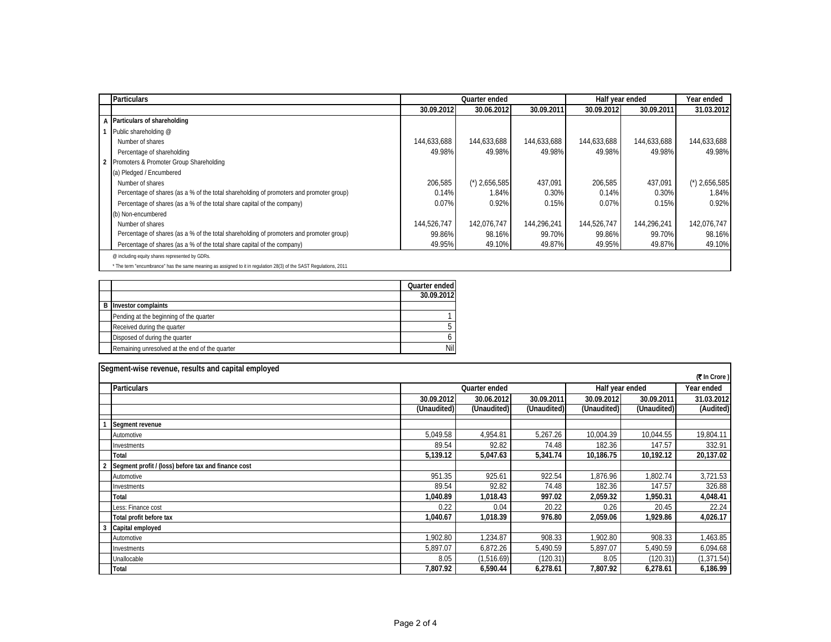| <b>Particulars</b>                                                                                                |             | Quarter ended   |             | Half year ended |             | Year ended      |
|-------------------------------------------------------------------------------------------------------------------|-------------|-----------------|-------------|-----------------|-------------|-----------------|
|                                                                                                                   | 30.09.2012  | 30.06.2012      | 30.09.2011  | 30.09.2012      | 30.09.2011  | 31.03.2012      |
| A Particulars of shareholding                                                                                     |             |                 |             |                 |             |                 |
| Public shareholding @                                                                                             |             |                 |             |                 |             |                 |
| Number of shares                                                                                                  | 144,633,688 | 144,633,688     | 144,633,688 | 144,633,688     | 144,633,688 | 144,633,688     |
| Percentage of shareholding                                                                                        | 49.98%      | 49.98%          | 49.98%      | 49.98%          | 49.98%      | 49.98%          |
| 2 Promoters & Promoter Group Shareholding                                                                         |             |                 |             |                 |             |                 |
| (a) Pledged / Encumbered                                                                                          |             |                 |             |                 |             |                 |
| Number of shares                                                                                                  | 206.585     | $(*)$ 2,656,585 | 437,091     | 206.585         | 437,091     | $(*)$ 2,656,585 |
| Percentage of shares (as a % of the total shareholding of promoters and promoter group)                           | 0.14%       | 1.84%           | 0.30%       | 0.14%           | 0.30%       | 1.84%           |
| Percentage of shares (as a % of the total share capital of the company)                                           | 0.07%       | 0.92%           | 0.15%       | 0.07%           | 0.15%       | 0.92%           |
| (b) Non-encumbered                                                                                                |             |                 |             |                 |             |                 |
| Number of shares                                                                                                  | 144,526,747 | 142.076.747     | 144.296.241 | 144,526,747     | 144,296,241 | 142.076.747     |
| Percentage of shares (as a % of the total shareholding of promoters and promoter group)                           | 99.86%      | 98.16%          | 99.70%      | 99.86%          | 99.70%      | 98.16%          |
| Percentage of shares (as a % of the total share capital of the company)                                           | 49.95%      | 49.10%          | 49.87%      | 49.95%          | 49.87%      | 49.10%          |
| @ including equity shares represented by GDRs.                                                                    |             |                 |             |                 |             |                 |
| * The term "encumbrance" has the same meaning as assigned to it in regulation 28(3) of the SAST Regulations, 2011 |             |                 |             |                 |             |                 |

\* The term "encumbrance" has the same meaning as assigned to it in regulation 28(3) of the SAST Regulations, 2011

|   |                                                | Quarter ended |
|---|------------------------------------------------|---------------|
|   |                                                | 30.09.2012    |
| R | Investor complaints                            |               |
|   | Pending at the beginning of the quarter        |               |
|   | Received during the quarter                    |               |
|   | Disposed of during the quarter                 |               |
|   | Remaining unresolved at the end of the quarter | Nil           |

| Segment-wise revenue, results and capital employed |                                                     |                                  |             |             |             |             |                      |
|----------------------------------------------------|-----------------------------------------------------|----------------------------------|-------------|-------------|-------------|-------------|----------------------|
|                                                    |                                                     |                                  |             |             |             |             | <b>(₹ In Crore )</b> |
|                                                    | <b>Particulars</b>                                  | Quarter ended<br>Half year ended |             |             |             | Year ended  |                      |
|                                                    |                                                     | 30.09.2012                       | 30.06.2012  | 30.09.2011  | 30.09.2012  | 30.09.2011  | 31.03.2012           |
|                                                    |                                                     | (Unaudited)                      | (Unaudited) | (Unaudited) | (Unaudited) | (Unaudited) | (Audited)            |
|                                                    | Segment revenue                                     |                                  |             |             |             |             |                      |
|                                                    | Automotive                                          | 5,049.58                         | 4,954.81    | 5,267.26    | 10,004.39   | 10,044.55   | 19,804.11            |
|                                                    | Investments                                         | 89.54                            | 92.82       | 74.48       | 182.36      | 147.57      | 332.91               |
|                                                    | Total                                               | 5,139.12                         | 5,047.63    | 5,341.74    | 10,186.75   | 10,192.12   | 20,137.02            |
|                                                    | Segment profit / (loss) before tax and finance cost |                                  |             |             |             |             |                      |
|                                                    | Automotive                                          | 951.35                           | 925.61      | 922.54      | 1,876.96    | 1,802.74    | 3,721.53             |
|                                                    | Investments                                         | 89.54                            | 92.82       | 74.48       | 182.36      | 147.57      | 326.88               |
|                                                    | Total                                               | 1,040.89                         | 1,018.43    | 997.02      | 2,059.32    | 1,950.31    | 4,048.41             |
|                                                    | Less: Finance cost                                  | 0.22                             | 0.04        | 20.22       | 0.26        | 20.45       | 22.24                |
|                                                    | Total profit before tax                             | 1,040.67                         | 1,018.39    | 976.80      | 2,059.06    | 1,929.86    | 4,026.17             |
| 3                                                  | Capital employed                                    |                                  |             |             |             |             |                      |
|                                                    | Automotive                                          | 1,902.80                         | 1,234.87    | 908.33      | 1,902.80    | 908.33      | 1,463.85             |
|                                                    | Investments                                         | 5,897.07                         | 6,872.26    | 5,490.59    | 5,897.07    | 5,490.59    | 6,094.68             |
|                                                    | Unallocable                                         | 8.05                             | (1,516.69)  | (120.31)    | 8.05        | (120.31)    | (1, 371.54)          |
|                                                    | Total                                               | 7.807.92                         | 6,590.44    | 6,278.61    | 7,807.92    | 6,278.61    | 6,186.99             |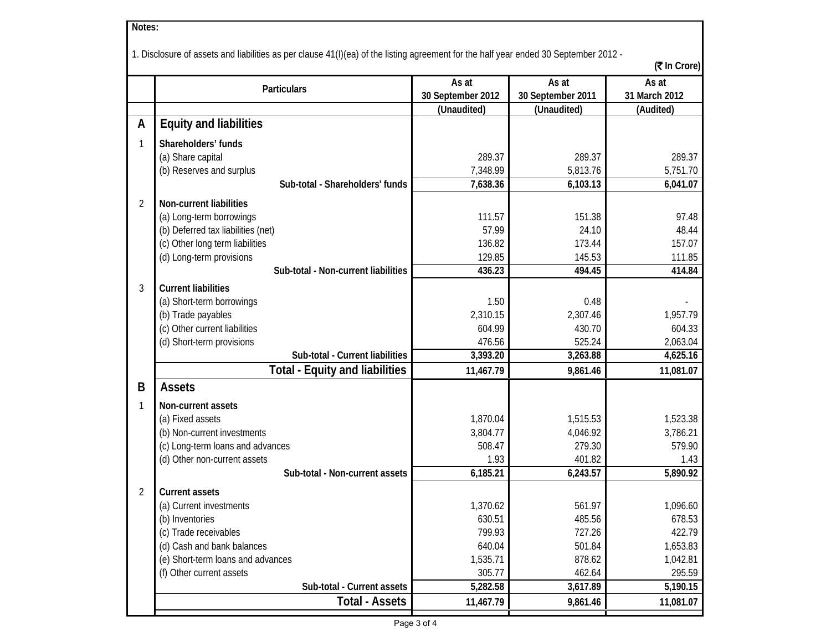| Notes:                                                                                                                                               |                                       |                   |                   |               |  |  |  |
|------------------------------------------------------------------------------------------------------------------------------------------------------|---------------------------------------|-------------------|-------------------|---------------|--|--|--|
|                                                                                                                                                      |                                       |                   |                   |               |  |  |  |
| 1. Disclosure of assets and liabilities as per clause 41(I)(ea) of the listing agreement for the half year ended 30 September 2012 -<br>(そ In Crore) |                                       |                   |                   |               |  |  |  |
|                                                                                                                                                      |                                       | As at             | As at             | As at         |  |  |  |
|                                                                                                                                                      | Particulars                           | 30 September 2012 | 30 September 2011 | 31 March 2012 |  |  |  |
|                                                                                                                                                      |                                       | (Unaudited)       | (Unaudited)       | (Audited)     |  |  |  |
| A                                                                                                                                                    | <b>Equity and liabilities</b>         |                   |                   |               |  |  |  |
| 1                                                                                                                                                    | Shareholders' funds                   |                   |                   |               |  |  |  |
|                                                                                                                                                      | (a) Share capital                     | 289.37            | 289.37            | 289.37        |  |  |  |
|                                                                                                                                                      | (b) Reserves and surplus              | 7,348.99          | 5,813.76          | 5,751.70      |  |  |  |
|                                                                                                                                                      | Sub-total - Shareholders' funds       | 7,638.36          | 6,103.13          | 6,041.07      |  |  |  |
| 2                                                                                                                                                    | Non-current liabilities               |                   |                   |               |  |  |  |
|                                                                                                                                                      | (a) Long-term borrowings              | 111.57            | 151.38            | 97.48         |  |  |  |
|                                                                                                                                                      | (b) Deferred tax liabilities (net)    | 57.99             | 24.10             | 48.44         |  |  |  |
|                                                                                                                                                      | (c) Other long term liabilities       | 136.82            | 173.44            | 157.07        |  |  |  |
|                                                                                                                                                      | (d) Long-term provisions              | 129.85            | 145.53            | 111.85        |  |  |  |
|                                                                                                                                                      | Sub-total - Non-current liabilities   | 436.23            | 494.45            | 414.84        |  |  |  |
| 3                                                                                                                                                    | <b>Current liabilities</b>            |                   |                   |               |  |  |  |
|                                                                                                                                                      | (a) Short-term borrowings             | 1.50              | 0.48              |               |  |  |  |
|                                                                                                                                                      | (b) Trade payables                    | 2,310.15          | 2,307.46          | 1,957.79      |  |  |  |
|                                                                                                                                                      | (c) Other current liabilities         | 604.99            | 430.70            | 604.33        |  |  |  |
|                                                                                                                                                      | (d) Short-term provisions             | 476.56            | 525.24            | 2,063.04      |  |  |  |
|                                                                                                                                                      | Sub-total - Current liabilities       | 3,393.20          | 3,263.88          | 4,625.16      |  |  |  |
|                                                                                                                                                      | <b>Total - Equity and liabilities</b> | 11,467.79         | 9,861.46          | 11,081.07     |  |  |  |
| B                                                                                                                                                    | <b>Assets</b>                         |                   |                   |               |  |  |  |
| 1                                                                                                                                                    | Non-current assets                    |                   |                   |               |  |  |  |
|                                                                                                                                                      | (a) Fixed assets                      | 1,870.04          | 1,515.53          | 1,523.38      |  |  |  |
|                                                                                                                                                      | (b) Non-current investments           | 3,804.77          | 4,046.92          | 3,786.21      |  |  |  |
|                                                                                                                                                      | (c) Long-term loans and advances      | 508.47            | 279.30            | 579.90        |  |  |  |
|                                                                                                                                                      | (d) Other non-current assets          | 1.93              | 401.82            | 1.43          |  |  |  |
|                                                                                                                                                      | Sub-total - Non-current assets        | 6,185.21          | 6,243.57          | 5,890.92      |  |  |  |
| 2                                                                                                                                                    | <b>Current assets</b>                 |                   |                   |               |  |  |  |
|                                                                                                                                                      | (a) Current investments               | 1,370.62          | 561.97            | 1,096.60      |  |  |  |
|                                                                                                                                                      | (b) Inventories                       | 630.51            | 485.56            | 678.53        |  |  |  |
|                                                                                                                                                      | (c) Trade receivables                 | 799.93            | 727.26            | 422.79        |  |  |  |
|                                                                                                                                                      | (d) Cash and bank balances            | 640.04            | 501.84            | 1,653.83      |  |  |  |
|                                                                                                                                                      | (e) Short-term loans and advances     | 1,535.71          | 878.62            | 1,042.81      |  |  |  |
|                                                                                                                                                      | (f) Other current assets              | 305.77            | 462.64            | 295.59        |  |  |  |
|                                                                                                                                                      | Sub-total - Current assets            | 5,282.58          | 3,617.89          | 5,190.15      |  |  |  |
|                                                                                                                                                      | <b>Total - Assets</b>                 | 11,467.79         | 9,861.46          | 11,081.07     |  |  |  |